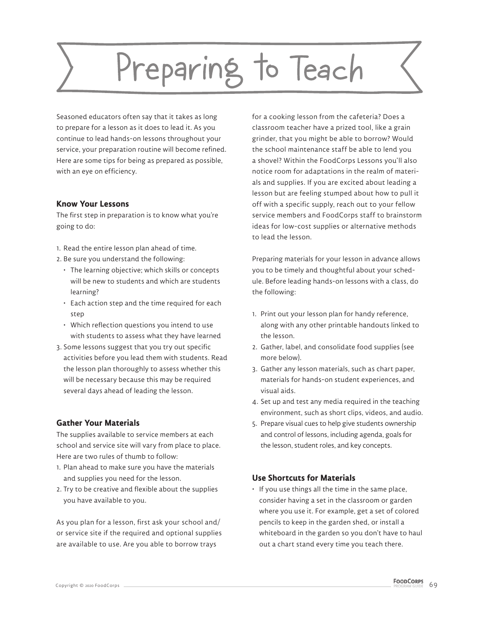# Preparing to Teach

Seasoned educators often say that it takes as long to prepare for a lesson as it does to lead it. As you continue to lead hands-on lessons throughout your service, your preparation routine will become refined. Here are some tips for being as prepared as possible, with an eye on efficiency.

### **Know Your Lessons**

The first step in preparation is to know what you're going to do:

- 1. Read the entire lesson plan ahead of time.
- 2. Be sure you understand the following:
	- The learning objective; which skills or concepts will be new to students and which are students learning?
	- Each action step and the time required for each step
	- Which reflection questions you intend to use with students to assess what they have learned
- 3. Some lessons suggest that you try out specific activities before you lead them with students. Read the lesson plan thoroughly to assess whether this
- will be necessary because this may be required several days ahead of leading the lesson.

## **Gather Your Materials**

The supplies available to service members at each school and service site will vary from place to place. Here are two rules of thumb to follow:

- 1. Plan ahead to make sure you have the materials and supplies you need for the lesson.
- 2. Try to be creative and flexible about the supplies you have available to you.

As you plan for a lesson, first ask your school and/ or service site if the required and optional supplies are available to use. Are you able to borrow trays

for a cooking lesson from the cafeteria? Does a classroom teacher have a prized tool, like a grain grinder, that you might be able to borrow? Would the school maintenance staff be able to lend you a shovel? Within the FoodCorps Lessons you'll also notice room for adaptations in the realm of materials and supplies. If you are excited about leading a lesson but are feeling stumped about how to pull it off with a specific supply, reach out to your fellow service members and FoodCorps staff to brainstorm ideas for low-cost supplies or alternative methods to lead the lesson.

Preparing materials for your lesson in advance allows you to be timely and thoughtful about your schedule. Before leading hands-on lessons with a class, do the following:

- 1. Print out your lesson plan for handy reference, along with any other printable handouts linked to the lesson.
- 2. Gather, label, and consolidate food supplies (see more below).
- 3. Gather any lesson materials, such as chart paper, materials for hands-on student experiences, and visual aids.
- 4. Set up and test any media required in the teaching environment, such as short clips, videos, and audio.
- 5. Prepare visual cues to help give students ownership and control of lessons, including agenda, goals for the lesson, student roles, and key concepts.

## **Use Shortcuts for Materials**

• If you use things all the time in the same place, consider having a set in the classroom or garden where you use it. For example, get a set of colored pencils to keep in the garden shed, or install a whiteboard in the garden so you don't have to haul out a chart stand every time you teach there.